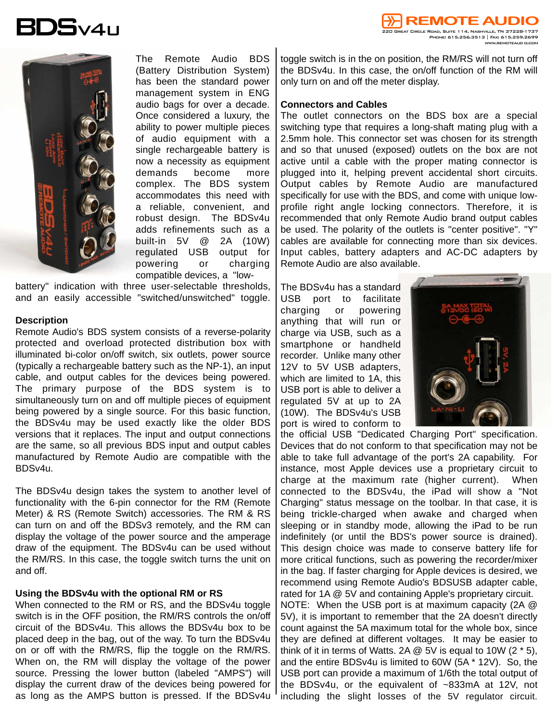



The Remote Audio BDS (Battery Distribution System) has been the standard power management system in ENG audio bags for over a decade. Once considered a luxury, the ability to power multiple pieces of audio equipment with a single rechargeable battery is now a necessity as equipment demands become more complex. The BDS system accommodates this need with a reliable, convenient, and robust design. The BDSv4u adds refinements such as a built-in 5V @ 2A (10W) regulated USB output for powering or charging compatible devices, a "low-

battery" indication with three user-selectable thresholds, and an easily accessible "switched/unswitched" toggle.

## **Description**

Remote Audio's BDS system consists of a reverse-polarity protected and overload protected distribution box with illuminated bi-color on/off switch, six outlets, power source (typically a rechargeable battery such as the NP-1), an input cable, and output cables for the devices being powered. The primary purpose of the BDS system is to simultaneously turn on and off multiple pieces of equipment being powered by a single source. For this basic function, the BDSv4u may be used exactly like the older BDS versions that it replaces. The input and output connections are the same, so all previous BDS input and output cables manufactured by Remote Audio are compatible with the BDSv4u.

The BDSv4u design takes the system to another level of functionality with the 6-pin connector for the RM (Remote Meter) & RS (Remote Switch) accessories. The RM & RS can turn on and off the BDSv3 remotely, and the RM can display the voltage of the power source and the amperage draw of the equipment. The BDSv4u can be used without the RM/RS. In this case, the toggle switch turns the unit on and off.

## **Using the BDSv4u with the optional RM or RS**

When connected to the RM or RS, and the BDSv4u toggle switch is in the OFF position, the RM/RS controls the on/off circuit of the BDSv4u. This allows the BDSv4u box to be placed deep in the bag, out of the way. To turn the BDSv4u on or off with the RM/RS, flip the toggle on the RM/RS. When on, the RM will display the voltage of the power source. Pressing the lower button (labeled "AMPS") will display the current draw of the devices being powered for as long as the AMPS button is pressed. If the BDSv4u

toggle switch is in the on position, the RM/RS will not turn off the BDSv4u. In this case, the on/off function of the RM will only turn on and off the meter display.

## **Connectors and Cables**

The outlet connectors on the BDS box are a special switching type that requires a long-shaft mating plug with a 2.5mm hole. This connector set was chosen for its strength and so that unused (exposed) outlets on the box are not active until a cable with the proper mating connector is plugged into it, helping prevent accidental short circuits. Output cables by Remote Audio are manufactured specifically for use with the BDS, and come with unique lowprofile right angle locking connectors. Therefore, it is recommended that only Remote Audio brand output cables be used. The polarity of the outlets is "center positive". "Y" cables are available for connecting more than six devices. Input cables, battery adapters and AC-DC adapters by Remote Audio are also available.

The BDSv4u has a standard USB port to facilitate charging or powering anything that will run or charge via USB, such as a smartphone or handheld recorder. Unlike many other 12V to 5V USB adapters, which are limited to 1A, this USB port is able to deliver a regulated 5V at up to 2A (10W). The BDSv4u's USB port is wired to conform to



the official USB "Dedicated Charging Port" specification. Devices that do not conform to that specification may not be able to take full advantage of the port's 2A capability. For instance, most Apple devices use a proprietary circuit to charge at the maximum rate (higher current). When connected to the BDSv4u, the iPad will show a "Not Charging" status message on the toolbar. In that case, it is being trickle-charged when awake and charged when sleeping or in standby mode, allowing the iPad to be run indefinitely (or until the BDS's power source is drained). This design choice was made to conserve battery life for more critical functions, such as powering the recorder/mixer in the bag. If faster charging for Apple devices is desired, we recommend using Remote Audio's BDSUSB adapter cable, rated for 1A @ 5V and containing Apple's proprietary circuit.

NOTE: When the USB port is at maximum capacity (2A @ 5V), it is important to remember that the 2A doesn't directly count against the 5A maximum total for the whole box, since they are defined at different voltages. It may be easier to think of it in terms of Watts. 2A  $@$  5V is equal to 10W (2  $*$  5), and the entire BDSv4u is limited to 60W (5A \* 12V). So, the USB port can provide a maximum of 1/6th the total output of the BDSv4u, or the equivalent of ~833mA at 12V, not including the slight losses of the 5V regulator circuit.